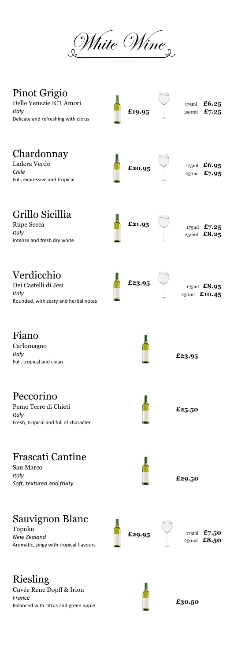White Wine

| Pinot Grigio<br>Delle Venezie ICT Amori<br>Italy<br>Delicate and refreshing with citrus | £19.95 | 175ml<br>250ml | £6.25<br>£7.25                     |
|-----------------------------------------------------------------------------------------|--------|----------------|------------------------------------|
| Chardonnay<br>Ladera Verde<br>Chile<br>Full, expressive and tropical                    | £20.95 |                | 175ml $£6.95$<br>250ml £7.95       |
| Grillo Sicillia<br>Rupe Secca<br>Italy<br>Intense and fresh dry white                   | £21.95 |                | 175ml $£7.25$<br>$_{25}$ oml £8.25 |
| Verdicchio<br>Dei Castelli di Jesi<br>Italy<br>Rounded, with zesty and herbal notes     | £23.95 |                | 175ml $£8.95$<br>250ml £10.45      |
| Fiano<br>Carlomagno<br>Italy<br>Full, tropical and clean                                |        | £23.95         |                                    |
| Peccorino<br>Pemo Terre di Chieti<br>Italy<br>Fresh, tropical and full of character     |        | £25.50         |                                    |
| <b>Frascati Cantine</b><br>San Marco<br>Italy<br>Soft, textured and fruity              |        | £29.50         |                                    |
| Sauvignon Blanc<br>Topuku<br>New Zealand<br>Aromatic, zingy with tropical flavours      | £29.95 | 175ml<br>250ml | £7.50<br>£8.50                     |
| Riesling<br>Cuvée Rene Dopff & Irion<br>France                                          |        |                |                                    |

Balanced with citrus and green apple

 $\mathbf{I}$ 

**£30.50**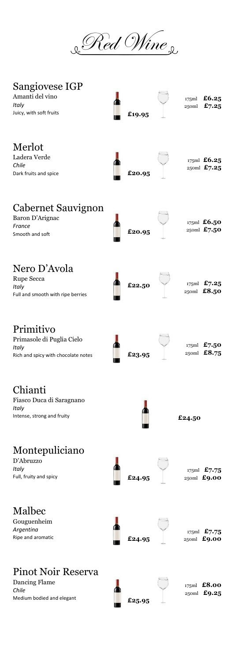& Red Wine

| Sangiovese IGP<br>Amanti del vino<br>Italy<br>Juicy, with soft fruits                  | £19.95 | 175ml<br>250ml | £6.25<br>£7.25                     |
|----------------------------------------------------------------------------------------|--------|----------------|------------------------------------|
| Merlot<br>Ladera Verde<br>Chile<br>Dark fruits and spice                               | £20.95 |                | 175ml $£6.25$<br>$_{25}$ oml £7.25 |
| <b>Cabernet Sauvignon</b><br>Baron D'Arignac<br>France<br>Smooth and soft              | £20.95 |                | 175ml $£6.50$<br>$_{25}$ oml £7.50 |
| Nero D'Avola<br>Rupe Secca<br>Italy<br>Full and smooth with ripe berries               | £22.50 |                | 175ml $£7.25$<br>$_{250ml}$ £8.50  |
| Primitivo<br>Primasole di Puglia Cielo<br>Italy<br>Rich and spicy with chocolate notes | £23.95 |                | 175ml $£7.50$<br>250ml $£8.75$     |
| Chianti<br>Fiasco Duca di Saragnano<br>Italy<br>Intense, strong and fruity             |        | £24.50         |                                    |
| Montepuliciano<br>D'Abruzzo<br>Italy<br>Full, fruity and spicy                         | £24.95 |                | 175ml $£7.75$<br>$_{25}$ oml £9.00 |
| Malbec<br>Gouguenheim<br>Argentina<br>Ripe and aromatic                                | £24.95 |                | 175ml $£7.75$<br>$_{25}$ oml £9.00 |
| Pinot Noir Reserva<br>Dancing Flame<br>Chile<br>Medium bodied and elegant              | £25.95 |                | 175ml $£8.00$<br>$_{25}$ oml £9.25 |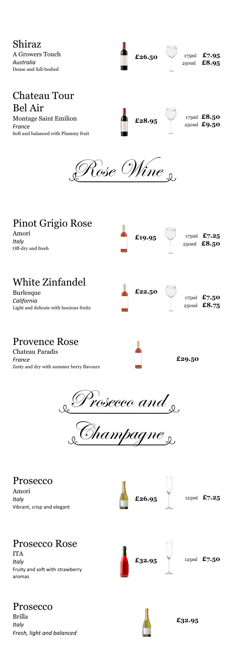Shiraz A Growers Touch *Australia* Dense and full-bodied

175ml **£7.95**  $\begin{array}{r} \texttt{£26.50} \\ \texttt{25.50} \\ \texttt{25.50m} \end{array}$   $\begin{array}{r} \texttt{175m1} \\ \texttt{17.5m1} \\ \texttt{25.95} \end{array}$ 

## Chateau Tour Bel Air

Montage Saint Emilion *France*  Soft and balanced with Plummy fruit

175ml **£8.50**  $\textbf{£28.95}$   $\textbf{250ml}$   $\textbf{£9.50}$ 

Rose Wine

| Pinot Grigio Rose<br>Amori<br>Italy<br>Off-dry and fresh                                      |  | £19.95 |        |  | 175ml $£7.25$<br>$_{25}$ oml £8.50 |
|-----------------------------------------------------------------------------------------------|--|--------|--------|--|------------------------------------|
| White Zinfandel<br><b>Burlesque</b><br>California<br>Light and delicate with luscious fruits  |  | £22.50 |        |  | 175ml £7.50<br>$_{25}$ oml £8.75   |
| <b>Provence Rose</b><br>Chateau Paradis<br>France<br>Zesty and dry with summer berry flavours |  |        | £29.50 |  |                                    |
| Prosecco and                                                                                  |  |        |        |  |                                    |

Champagne

Prosecco Amori *Italy*  Vibrant, crisp and elegant



125ml **£7.25**

## Prosecco Rose

ITA *Italy* Fruity and soft with strawberry aromas



125ml **£7.50 £32.95**

## Prosecco

Brilla *Italy Fresh, light and balanced* 



**£32.95**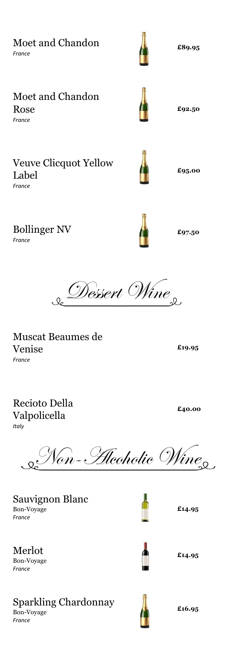Moet and Chandon Rose *France*  Veuve Clicquot Yellow Label

Moet and Chandon

*France* 

*France*

Bollinger NV

*France* 

& Dessert Wine

Muscat Beaumes de Venise *France* 

Recioto Della Valpolicella *Italy* 

 $\mathscr{N}\!\mathit{on}\text{-}\mathscr{H}\!\mathit{leoholic}$  Wine $_\mathrm{o}$ 

Sauvignon Blanc Bon-Voyage *France* 

Merlot Bon-Voyage *France* 

## Sparkling Chardonnay

Bon-Voyage *France* 





**£95.00**

**£89.95**

**£92.50**

**£97.50**

**£40.00**

**£19.95**

**£14.95**



**£14.95**



**£16.95**